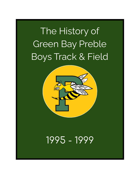# The History of Green Bay Preble Boys Track & Field



# 1995 - 1999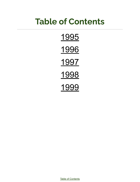# <span id="page-1-0"></span>**Table of Contents**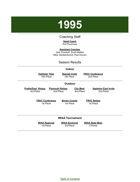<span id="page-2-0"></span>

## Coaching Staff

#### **Head Coach** Pat Prochnow

**Assistant Coaches** Jack Drankoff, Scott Mallien Mike VandenAvond, Paul Donart

## Season Results

#### **Indoor**

**Oshkosh Titan** 15th Place

**Neenah Invite** 5th Place

**FRVC Conference** 2nd Place

#### **Outdoor**

**Preble/East Relays** 3rd Place **Plymouth Relays**

2nd Place

**City Meet** 2nd Place

**Appleton East Invite** 2nd Place

**FRVC Conference** 1st Place

**Brown County** 1st Place

**FRVC Relays** 1st Place

#### **WIAA Tournament**

**WIAA Regional** 1st Place

**WIAA Sectional** 3rd Place

**WIAA State Meet** 5 Points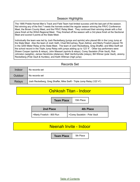## Season Highlights

The 1995 Preble Hornet Men's Track and Field Team had limited success until the last part of the season. Not winning any of the first 7 meets the hornets ended the regular season winning the FRVC Conference Meet, the Brown County Meet, and the FRVC Relay Meet. They continued their winning streak with a first place finish at the WIAA Regional Meet. They finished off the season with a 3rd place finish at the Sectional Meet and scored 5 points at the State Meet.

Individually the team was led by Josh Reckelberg (jumps and sprints) who placed 6th in the Long Jump at the State Meet. Also the team of Josh Veith, Chad McCartney, Ryan Zellner, and Marty Froelich placed 7th in the 3200 Meter Relay at the State Meet. The team of Josh Reckelberg, Greg Shaffer, and Mike Swift set the school record in the Triple Jump Relay with jumps adding up to 123' 4". Other top performers were Shawn Cooper (sprints & relays), John Massart (sprints & relays), Corey Sautebin (Pole Vault), Rob Johnston (weights), James Hendricks (distance), Matt VanSchyndle (relays), Bill Witmer (pole Vault), Jeremy Reckelberg (Pole Vault & Hurdles), and Keith Wittman (high jump)

## Records Set

| Indoor        | No records set                                                          |
|---------------|-------------------------------------------------------------------------|
| Outdoor       | No records set                                                          |
| <b>Relays</b> | Josh Reckelberg, Greg Shaffer, Mike Swift - Triple Jump Relay (123' 4") |

# Oshkosh Titan - Indoor

**Team Place** | 15th Place

| 2nd Place                 | <b>4th Place</b>             |
|---------------------------|------------------------------|
| >Marty Froelich - 800 Run | SCorey Sautebin - Pole Vault |

## Neenah Invite - Indoor

**Team Place** 5th Place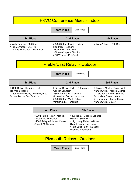## FRVC Conference Meet - Indoor

**Team Place** 2nd Place

| 1st Place                                                                                  | 2nd Place                                                                                                                               | <b>4th Place</b>         |
|--------------------------------------------------------------------------------------------|-----------------------------------------------------------------------------------------------------------------------------------------|--------------------------|
| SMarty Froelich - 800 Run<br>l >Rob Johnston - Shot Put<br>>Jeremy Reckelberg - Pole Vault | >3200 Relay - Froelich, Vieth,<br>Hendricks, Hellmann<br>>Josh Veith - 800 Run<br>>Shawn Cooper - Shot Put<br>>Bill Widmer - Pole Vault | >Ryan Zellner - 1600 Run |

# Preble/East Relay - Outdoor

**Team Place** 3rd Place

| <b>1st Place</b>                                                                                                     | 2nd Place                                                                                                                                                                       | 3rd Place                                                                                                                                                                             |
|----------------------------------------------------------------------------------------------------------------------|---------------------------------------------------------------------------------------------------------------------------------------------------------------------------------|---------------------------------------------------------------------------------------------------------------------------------------------------------------------------------------|
| >6400 Relay - Hendricks, Hall,<br>Hellmann, Hagge<br>>1600 Medley Relay - VanSchyndle,<br>Schwenker, McCoy, Froelich | >Discus Relay - Pelkin, Schwenker,<br>Cooper, Johnston<br>>Shot Put Relay - Westlund,<br>Schwenker, Cooper, Johnston<br>>3200 Relay - Vieth, Zellner,<br>VanSchyndle, Hendricks | >Distance Medley Relay - Vieth,<br>VanSchyndle, Froelich, Zellner<br>>Triple Jump Relay - Shaffer,<br>Schmeling, Siegel, Hemm<br>>Long Jump - Shaffer, Massart,<br>VanSchyndle, McCoy |

| 4th Place                                                                                                      | <b>5th Place</b>                                                                                                                                                     |
|----------------------------------------------------------------------------------------------------------------|----------------------------------------------------------------------------------------------------------------------------------------------------------------------|
| >900 I Hurdle Relay - Krause,<br>McCartney, Reckelberg<br>>1600 Relay - Schauer, Krause,<br>Strebel, McCartney | >400 Relay - Cooper, Schaffer,<br>Massart, Schmeling<br>>High Jump Relay - Wittman,<br>Siegel, Schmeling, Hemm<br>>Pole Vault Relay - Massart,<br>Widmer, Reckelberg |

# Plymouth Relays - Outdoor

**Team Place** | 2nd Place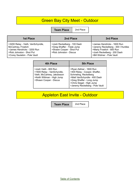# Green Bay City Meet - Outdoor

**Team Place** 2nd Place

| <b>1st Place</b>                                                                                                                                    | 2nd Place                                                                                                        | 3rd Place                                                                                                                                                  |
|-----------------------------------------------------------------------------------------------------------------------------------------------------|------------------------------------------------------------------------------------------------------------------|------------------------------------------------------------------------------------------------------------------------------------------------------------|
| >3200 Relay - Vieth, VanSchyndle,<br>McCartney, Froelich<br>>James Hendricks - 3200 Run<br>>Rob Johnston - Shot Put<br>>Corey Sautebin - Pole Vault | >Josh Reckelberg - 100 Dash<br>>Greg Shaffer - Triple Jump<br>>Shawn Cooper - Shot Put<br>>Rob Johnston - Discus | >James Hendricks - 1600 Run<br>>Jeremy Reckelberg - 300 I Hurdles<br>>Marty Froelich - 800 Run<br>>Josh Reckelberg - 200 Dash<br>>Bill Widmer - Pole Vault |

| <b>4th Place</b>                                                                                                                           | <b>5th Place</b>                                                                                                                                                                                                |
|--------------------------------------------------------------------------------------------------------------------------------------------|-----------------------------------------------------------------------------------------------------------------------------------------------------------------------------------------------------------------|
| >Josh Vieth - 800 Run<br>>1600 Relay - VanSchyndle,<br>Vieth, McCartney, Jakobsson<br>>Keith Wittman - High Jump<br>>Shawn Cooper - Discus | >Ryan Zellner - 1600 Run<br>>400 Relay - Cooper, Shaffer,<br>Schmeling, Reckelberg<br>>Matt VanSchyndle - 400 Dash<br>>Greg Shaffer - Long Jump<br>>Chris Siegel - High Jump<br>>Jeremy Reckelberg - Pole Vault |

Appleton East Invite - Outdoor

**Team Place** 2nd Place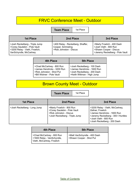# FRVC Conference Meet - Outdoor

**Team Place** | 1st Place

| <b>1st Place</b>                                                                                                           | 2nd Place                                                                        | 3rd Place                                                                                                        |
|----------------------------------------------------------------------------------------------------------------------------|----------------------------------------------------------------------------------|------------------------------------------------------------------------------------------------------------------|
| >Josh Reckelberg - Triple Jump<br>>Corey Sautebin - Pole Vault<br>>3200 Relay - Vieth, Froelich,<br>VanSchyndle, McCartney | >400 Relay - Reckelberg, Shaffer,<br>Cooper, Schmeling<br>>Rob Johnston - Discus | >Marty Froelich - 400 Dash<br>>Josh Vieth - 800 Run<br>>Shawn Cooper - Discus<br>>Jeremy Reckelberg - Pole Vault |

| 4th Place                   | <b>5th Place</b>            |
|-----------------------------|-----------------------------|
| >Chad McCartney - 800 Run   | >Josh Reckelberg - 100 Dash |
| >James Hendricks - 3200 Run | >James Hendricks - 1600 Run |
| >Rob Johnston - Shot Put    | >Josh Reckelberg - 200 Dash |
| >Bill Widmer - Pole Vault   | >Keith Wittman - High Jump  |

# Brown County Meet - Outdoor

**Team Place** | 1st Place

| 1st Place                    | 2nd Place                                                                                                             | 3rd Place                                                                                                                                                                         |
|------------------------------|-----------------------------------------------------------------------------------------------------------------------|-----------------------------------------------------------------------------------------------------------------------------------------------------------------------------------|
| >Josh Reckelberg - Long Jump | >Marty Froelich - 800 Run<br>>Corey Sautebin - Pole Vault<br>>Rob Johnston - Discus<br>>Josh Reckelberg - Triple Jump | >3200 Relay - Vieth, McCartney,<br>Zellner, Froelich<br>>James Hendricks - 1600 Run<br>>Jeremy Reckelberg - 300 I Hurdles<br>>Josh Vieth - 800 Run<br>>Josh Reckelberg - 200 Dash |

| 4th Place                                                                             | <b>5th Place</b>                                         |
|---------------------------------------------------------------------------------------|----------------------------------------------------------|
| >Chad McCartney - 800 Run<br>>1600 Relay - VanSchyndle,<br>Vieth, McCartney, Froelich | >Matt VanSchyndle - 400 Dash<br>>Shawn Cooper - Shot Put |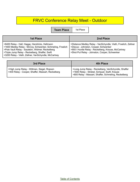# FRVC Conference Relay Meet - Outdoor

**Team Place** 1st Place

| <b>1st Place</b>                                                                                                                                                                                                                                                            | 2nd Place                                                                                                                                                                                                       |
|-----------------------------------------------------------------------------------------------------------------------------------------------------------------------------------------------------------------------------------------------------------------------------|-----------------------------------------------------------------------------------------------------------------------------------------------------------------------------------------------------------------|
| >6400 Relay - Hall, Hagge, Hendricks, Hellmann<br>>1600 Medley Relay - McCoy, Schwenker, Schmeling, Froelich<br>>Pole Vault Relay - Sautebin, Widmer, Reckelberg<br>STriple Jump Relay - Reckelberg, Shaffer, Swift<br>>3200 Relay - Vieth, Zellner, VanSchyndle, McCartney | >Distance Medley Relay - VanSchyndle, Vieth, Froelich, Zellner<br>>Discus - Johnston, Cooper, Schwenker<br>>900 I Hurdle Relay - Reckelberg, Krause, McCartney<br>>Shot Put Relay - Johnston, Cooper, Schwenker |

| 3rd Place                                                                                       | 4th Place                                                                                                                                                    |
|-------------------------------------------------------------------------------------------------|--------------------------------------------------------------------------------------------------------------------------------------------------------------|
| >High Jump Relay - Wittman, Siegel, Ropson<br>>400 Relay - Cooper, Shaffer, Massart, Reckelberg | >Long Jump Relay - Reckelberg, VanSchyndle, Shaffer<br>>1600 Relay - Strebel, Schauer, Swift, Krause<br>>800 Relay - Massart, Shaffer, Schmeling, Reckelberg |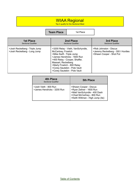## WIAA Regional

Top 4 qualify for the Sectional Meet

### **Team Place** 1st Place

| <b>1st Place</b>                                               | 2nd Place                                                                                                                                                                                                                                                                   | 3rd Place                                                                                |
|----------------------------------------------------------------|-----------------------------------------------------------------------------------------------------------------------------------------------------------------------------------------------------------------------------------------------------------------------------|------------------------------------------------------------------------------------------|
| <b>Sectional Qualifier</b>                                     | <b>Sectional Qualifier</b>                                                                                                                                                                                                                                                  | <b>Sectional Qualifier</b>                                                               |
| >Josh Reckelberg - Triple Jump<br>>Josh Reckelberg - Long Jump | >3200 Relay - Vieth, VanSchyndle,<br>McCartney, Froelich<br>>Mike Swift - Triple Jump<br>>James Hendricks - 1600 Run<br>>400 Relay - Cooper, Shaffer,<br>Massart, Reckelberg<br>>Marty Froelich - 800 Relay<br>>Corey Sautebin - Pole Vault<br>>Corey Sautebin - Pole Vault | >Rob Johnston - Discus<br>>Jeremy Reckelberg - 300   Hurdles<br>>Shawn Cooper - Shot Put |

| 4th Place<br><b>Sectional Qualifier</b>              | 5th Place                                                                                                                                           |
|------------------------------------------------------|-----------------------------------------------------------------------------------------------------------------------------------------------------|
| >Josh Vieth - 800 Run<br>>James Hendricks - 3200 Run | >Shawn Cooper - Discus<br>>Ryan Zellner - 1600 Run<br>>Matt VanSchyndle - 400 Dash<br>>Chad McCartney - 800 Run<br>>Keith Wittman - High Jump (tie) |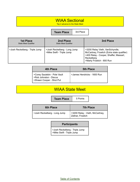# WIAA Sectional

Top 2 advance to the State Meet

**Team Place** 3rd Place

| <b>1st Place</b><br><b>State Meet Qualifier</b> | 2nd Place<br><b>State Meet Qualifier</b>                  | 3rd Place                                                                                                                                                           |
|-------------------------------------------------|-----------------------------------------------------------|---------------------------------------------------------------------------------------------------------------------------------------------------------------------|
| >Josh Reckelberg - Triple Jump                  | >Josh Reckelberg - Long Jump<br>>Mike Swift - Triple Jump | >3200 Relay Vieth, VanSchyndle,<br>McCartney, Froelich (Extra state qualifier)<br>>400 Relay - Cooper, Shaffer, Massart,<br>Reckelberg<br>>Marty Froelich - 800 Run |

| 4th Place                                                                         | <b>5th Place</b>            |
|-----------------------------------------------------------------------------------|-----------------------------|
| SCorey Sautebin - Pole Vault<br>>Rob Johnston - Discus<br>Shawn Cooper - Shot Put | >James Hendricks - 1600 Run |

# WIAA State Meet

**Team Place** 5 Points

| <b>6th Place</b>             | <b>7th Place</b>                                     |
|------------------------------|------------------------------------------------------|
| SJosh Reckelberg - Long Jump | >3200 Relay - Vieth, McCartney,<br>Zellner, Froelich |

## **Participants**

>Josh Reckelberg - Triple Jump >Mike Swift - Triple Jump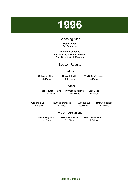# <span id="page-10-0"></span>**1996**

## Coaching Staff

#### **Head Coach** Pat Prochnow

**Assistant Coaches** Jack Drankoff, Mike VandenAvond Paul Donart, Scott Reeners

### Season Results

#### **Indoor**

**Oshkosh Titan** 5th Place

**Neenah Invite** 3rd Place

**FRVC Conference** 1st Place

#### **Outdoor**

**Preble/East Relays** 1st Place

**Plymouth Relays** 2nd Place

**City Meet** 1st Place

**Appleton East** 1st Place

**FRVC Conference** 1st Place

**FRVC Relays** 1st Place

**Brown County** 1st Place

#### **WIAA Tournament**

**WIAA Regional** 1st Place

**WIAA Sectional** 3rd Place

**WIAA State Meet** 12 Points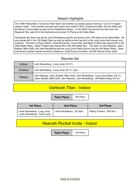## Season Highlights

The 1996 Preble Men's Track and Field Team had another successful season winning 7 out of 10 regular season meets. The victories included both indoor and outdoor FRVC Conference titles, the City Meet and the Brown County Meet as well as the Preble/East Relays. In the WIAA Tournament the team won the Regional Title, was 3rd in the Sectional and scored 12 Points at the State Meet.

Individually the team was led by Josh Reckelberg (sprints and jumps) with a 5th place at the State Meet. He also placed 8th in the 100 Meter Dash as well as setting school records in the Long Jump both indoors and outdoors. The team of Ryan Zellner, Chad McCartney, Lance Hall, and Marty Froelich also placed 5th in the 3200 Meter Relay. Marty Froelich also placed 6th in the 800 Meter Run. The Team of John Massart, Jason Bartlett, Mike Swift, and Josh Reckelberg set the Long Jump Relay Record and the 400 Meter Relay. Other individuals included James Hendricks (distance), Scott Krause (hurdles), and Bill Widmer (Pole Vault).

## Records Set

| Indoor        | Josh Reckelberg - Long Jump (23' 6")                                                                                                                                        |
|---------------|-----------------------------------------------------------------------------------------------------------------------------------------------------------------------------|
| Outdoor       | Josh Reckelberg - Long Jump (22' 3") (tie)                                                                                                                                  |
| <b>Relays</b> | John Massart, Jason Bartlett, Mike Swift, Josh Reckelberg - Long Jump Relay (78' 2")<br>Jason Bartlett, Mike Swift, John Massart, Josh Reckelberg - 400 Meter Relay (43.51) |

## Oshkosh Titan - Indoor

**Team Place** | 5th Place

| <b>1st Place</b>                                               | 2nd Place                  | 3rd Place                 |
|----------------------------------------------------------------|----------------------------|---------------------------|
| >Josh Reckelberg - Long Jump<br>>Josh Reckelberg - Triple Jump | >Josh Reckelberg - 55 Dash | >Marty Froelich - 800 Run |

## Neenah Rocket Invite - Indoor

**Team Place** | 3rd Place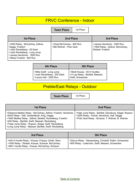## FRVC Conference - Indoor

**Team Place** | 1st Place

| 1st Place                                                                                                                                                                      | 2nd Place                                              | 3rd Place                                                                             |
|--------------------------------------------------------------------------------------------------------------------------------------------------------------------------------|--------------------------------------------------------|---------------------------------------------------------------------------------------|
| >3200 Relay - McCartney, Zellner,<br>Hagge, Froelich<br>>Josh Reckelberg - 55 Dash<br>>Josh Reckelberg - Long Jump<br>>James Hendricks - 1600 Run<br>>Marty Froelich - 800 Run | >Chad McCartney - 800 Run<br>>Bill Widmer - Pole Vault | >James Hendricks - 3200 Run<br>>1600 Relay - Zellner, McCartney,<br>Strebel, Froelich |

| 4th Place                                                                        | <b>5th Place</b>                                                                        |
|----------------------------------------------------------------------------------|-----------------------------------------------------------------------------------------|
| >Mike Swift - Long Jump<br>>Josh Reckelberg - 200 Dash<br>>Lance Hall - 3200 Run | >Brett Krause - 55 H Hurdles<br>  >4 Lap Relay - Bartlett, Massart,<br>Swift, Schwenker |

# Preble/East Relays - Outdoor

**Team Place** 1st Place

| 1st Place                                                                                                                                                                                                                                                                                                                                                 | 2nd Place                                                                                                                                                    |
|-----------------------------------------------------------------------------------------------------------------------------------------------------------------------------------------------------------------------------------------------------------------------------------------------------------------------------------------------------------|--------------------------------------------------------------------------------------------------------------------------------------------------------------|
| >Distance Medley Relay - McCartney, Zellner, Froelich, Hendricks<br>>6400 Relay - Hall, VandenBush, King, Hagge<br>>1600 Medley Relay - Zellner, Bartlett, Reckelberg, Froelich<br>>400 Relay - Bartlett, Swift, Massart, Reckelberg<br>>Triple Jump Relay - Ropson, Siegel, Swift, Reckelberg<br>>Long Jump Relay - Massart, Bartlett, Swift, Reckelberg | >High Jump Relay - Bartlett, Dainsburg, Siegel, Ropson<br>>3200 Relay - Farrell, Hendricks, Hall, Hagge<br>>Pole Vault Relay - Schauer, T. Widmer, B. Widmer |

| 3rd Place                                                                                                                                                   | <b>5th Place</b>                                                                                              |
|-------------------------------------------------------------------------------------------------------------------------------------------------------------|---------------------------------------------------------------------------------------------------------------|
| >440 H Hurdle Relay - Krause, Frisque, Smith, Wery<br>>1600 Relay - Strebel, Krause, Schauer, McCartney<br>>900   Hurdle Relay - Krause, McCartney, Schauer | >Discus Relay - Wassenberg, Christoff, Pelkin, Schwenker<br>>800 Relay - Leiterman, Swift, Massert, Schwenker |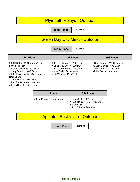# Plymouth Relays - Outdoor

**Team Place** 1st Place

# Green Bay City Meet - Outdoor

**Team Place** 1st Place

| <b>1st Place</b>                                                                                                                                                                                                                                                        | 2nd Place                                                                                                                                         | 3rd Place                                                                                                            |
|-------------------------------------------------------------------------------------------------------------------------------------------------------------------------------------------------------------------------------------------------------------------------|---------------------------------------------------------------------------------------------------------------------------------------------------|----------------------------------------------------------------------------------------------------------------------|
| >3200 Relay - McCartney, Zellner,<br>Farrell, Froelich<br>>Josh Reckelberg - 100 Dash<br>>Marty Froelich - 400 Dash<br>>400 Relay - Bartlett, Swift, Massart,<br>Reckelberg<br>>Marty Froelich - 800 Run<br>>Josh Reckelberg - Long Jump<br>>Jason Bartlett - High Jump | >James Hendricks - 1600 Run<br>>Chad McCartney - 800 Run<br>>James Hendricks - 3200 Run<br>>Mike Swift - Triple Jump<br>>Bill Widmer - Pole Vault | >Brett Krause - 110 H Hurdles<br>>Jason Bartlett - 100 Dash<br>>Jason Bartlett - 200 Dash<br>>Mike Swift - Long Jump |

| <b>4th Place</b>          | <b>5th Place</b>                                                                                           |
|---------------------------|------------------------------------------------------------------------------------------------------------|
| >John Massart - Long Jump | >Lance Hall - 1600 Run<br>>1600 Relay - Farrell, McCartney,<br>Schauer, Swift<br>>Rick Ebbers - Pole Vault |

# Appleton East Invite - Outdoor

**Team Place** 1st Place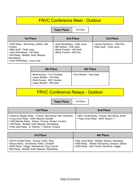## FRVC Conference Meet - Outdoor

**Team Place** | 1st Place

| <b>1st Place</b>                                                                                                                                                                                        | 2nd Place                                                                                                              | 3rd Place                                                |
|---------------------------------------------------------------------------------------------------------------------------------------------------------------------------------------------------------|------------------------------------------------------------------------------------------------------------------------|----------------------------------------------------------|
| >3200 Relay - McCartney, Zellner, Hall,<br>Froelich<br>>Mike Swift - Triple Jump<br>>Josh Reckelberg - 100 Dash<br>>400 Relay - Bartlett, Swift, Massart,<br>Reckelberg<br>>Josh Reckelberg - Long Jump | >Josh Reckelberg - Triple Jump<br>>Bill Widmer - Pole Vault<br>>Marty Froelich - 400 Dash<br>>Marty Froelich - 800 Run | >James Hendricks - 1600 Run<br>>Mike Swift - Triple Jump |

| 4th Place                                                                                                                  | <b>5th Place</b>         |
|----------------------------------------------------------------------------------------------------------------------------|--------------------------|
| >Brett Krause - 110 H Hurdles<br>>Jason Bartlett - 100 Dash<br>>Brett Krause - 300 I Hurdles<br>>Jason Bartlett - 200 Dash | >Tom Widmer - Pole Vault |

# FRVC Conference Relays - Outdoor

**Team Place** 1st Place

| 1st Place                                                                                                                                                                                                                                                                         | 2nd Place                                                                               |
|-----------------------------------------------------------------------------------------------------------------------------------------------------------------------------------------------------------------------------------------------------------------------------------|-----------------------------------------------------------------------------------------|
| >Distance Medley Relay - Froelich, McCartney, Hall, Hendricks<br>>Long Jump Relay - Swift, Massart, Bartlett<br>>1600 Medley Relay - Zellner, Thomas, Strebel, Froelich<br>>400 Relay - Bartlett, Swift, Massart, Reckelberg<br>>Pole Vault Relay - B. Widmer, T. Widmer, Frisque | >900 I Hurdle Relay - Krause, McCartney, Smith<br>>Triple Jump Relay - Swift, Ropson, ? |

| 3rd Place                                                                                                                                                                                        | <b>4th Place</b>                                                                                                                                      |
|--------------------------------------------------------------------------------------------------------------------------------------------------------------------------------------------------|-------------------------------------------------------------------------------------------------------------------------------------------------------|
| S30 H Hurdles Relay - Krause, Smith, Wery<br>>Discus Relay - Schwenker, Pelkin, Christoff<br>S6400 Relay - Hagge, Vandenbush, King, Farrell<br>S800 Relay - Bartlett, Swift, Massart, Reckelberg | >High Jump Relay - Bartlett, Ropson, Dainsberg<br>>1600 Relay - Strebel, McCartney, Schauer, Zellner<br>>3200 Relay - Hall, Farrell, Hendricks, Hagge |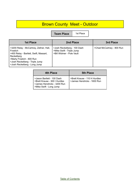# Brown County Meet - Outdoor

**Team Place** | 1st Place

| <b>1st Place</b>                                                                                                                                                                                                  | 2nd Place                                                                             | 3rd Place                 |
|-------------------------------------------------------------------------------------------------------------------------------------------------------------------------------------------------------------------|---------------------------------------------------------------------------------------|---------------------------|
| >3200 Relay - McCartney, Zellner, Hall,<br><b>Froelich</b><br>>400 Relay - Bartlett, Swift, Massart,<br>Reckelberg<br>>Marty Froelich - 800 Run<br>>Josh Reckelberg - Triple Jump<br>>Josh Reckelberg - Long Jump | >Josh Reckelberg - 100 Dash<br>>Mike Swift - Triple Jump<br>>Bill Widmer - Pole Vault | >Chad McCartney - 800 Run |

| 4th Place                                                                                                             | <b>5th Place</b>                                             |
|-----------------------------------------------------------------------------------------------------------------------|--------------------------------------------------------------|
| >Jason Bartlett - 100 Dash<br>>Brett Krause - 300 I Hurdles<br>>James Hendricks - 3200 Run<br>>Mike Swift - Long Jump | >Brett Krause - 110 H Hurdles<br>>James Hendricks - 1600 Run |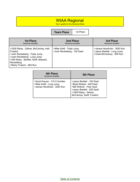## WIAA Regional

Top 4 qualify for the Sectional Meet

**Team Place** 1st Place

| <b>1st Place</b><br><b>Sectional Qualifier</b>                                                                                                                                                             | 2nd Place<br><b>Sectional Qualifier</b>                  | 3rd Place<br><b>Sectional Qualifier</b>                                                 |
|------------------------------------------------------------------------------------------------------------------------------------------------------------------------------------------------------------|----------------------------------------------------------|-----------------------------------------------------------------------------------------|
| >3200 Relay - Zellner, McCartney, Hall,<br>Froelich<br>>Josh Reckelberg - Triple Jump<br>>Josh Reckelberg - Long Jump<br>>400 Relay - Bartlett, Swift, Massart,<br>Reckelberg<br>>Marty Froelich - 800 Run | >Mike Swift - Triple Jump<br>>Josh Reckelberg - 100 Dash | >James Hendricks - 1600 Run<br>>Jason Bartlett - Long Jump<br>>Chad McCartney - 800 Run |

| <b>4th Place</b><br><b>Sectional Qualifier</b>                                          | <b>5th Place</b>                                                                                                                                                          |
|-----------------------------------------------------------------------------------------|---------------------------------------------------------------------------------------------------------------------------------------------------------------------------|
| >Scott Krause - 110 H Hurdles<br>>Mike Swift - Long Jump<br>>James Hendricks - 3200 Run | >Jason Bartlett - 100 Dash<br>>Brad Strebel - 400 Dash<br>>Bill Widmer - Pole Vault<br>>Jason Bartlett - 200 Dash<br>>1600 Relay - Zellner,<br>McCartney, Swift, Froelich |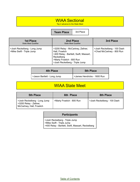## WIAA Sectional

Top 2 advance to the State Meet

**Team Place** 3rd Place

| <b>1st Place</b><br><b>State Meet Qualifier</b>           | 2nd Place<br><b>State Meet Qualifier</b>                                                                                                                                   | 3rd Place                                                |
|-----------------------------------------------------------|----------------------------------------------------------------------------------------------------------------------------------------------------------------------------|----------------------------------------------------------|
| >Josh Reckelberg - Long Jump<br>>Mike Swift - Triple Jump | >3200 Relay - McCartney, Zellner,<br>Hall, Froelich<br>>400 Relay - Bartlett, Swift, Massart,<br>Reckelberg<br>>Marty Froelich - 800 Run<br>>Josh Reckelberg - Triple Jump | >Josh Reckelberg - 100 Dash<br>>Chad McCartney - 800 Run |

| <b>4th Place</b>            | <b>5th Place</b>             |
|-----------------------------|------------------------------|
| >Jason Bartlett - Long Jump | > James Hendricks - 1600 Run |

## WIAA State Meet

| <b>5th Place</b>                                                                    | 6th Place                 | 8th Place                   |
|-------------------------------------------------------------------------------------|---------------------------|-----------------------------|
| >Josh Reckelberg - Long Jump<br>>3200 Relay - Zellner,<br>McCartney, Hall, Froelich | >Marty Froelich - 800 Run | >Josh Reckelberg - 100 Dash |

| <b>Participants</b> |
|---------------------|
|---------------------|

>Josh Reckelberg - Triple Jump >Mike Swift - Triple Jump >400 Relay - Bartlett, Swift, Massart, Reckelberg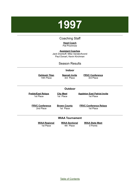# <span id="page-18-0"></span>**1997**

## Coaching Staff

#### **Head Coach** Pat Prochnow

**Assistant Coaches** Jack Drankoff, Mike VandenAvond Paul Donart, Kevin Kirchman

## Season Results

#### **Indoor**

**Oshkosh Titan** 14th Place

**Neenah Invite** 3rd Place

**FRVC Conference** 3rd Place

#### **Outdoor**

**Preble/East Relays** 1st Place

**City Meet** 1st Place

**Appleton East Patriot Invite** 1st Place

**FRVC Conference** 2nd Place

**Brown County** 1st Place

**FRVC Conference Relays** 1st Place

#### **WIAA Tournament**

**WIAA Regional** 1st Place

**WIAA Sectional** 4th Place

**WIAA State Meet** 0 Points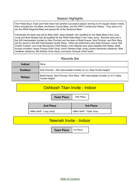## Season Highlights

The Preble Boy's Track and Field Team had another successful season winning 5 of 9 regular season meets. Wins included the City Meet, the Brown County Meet, and the FRVC Conference Relays. They went on to win the WIAA Regional Meet and placed 4th at the Sectional Meet.

Individually the team was led by Mike Swift, Jason Bartlett, who qualified for the State Meet in the Long Jump and Brad Strebel who all qualified for the WIAA State Meet in the Triple Jump. Records were set in the 300 Intermediate Hurdles by Nick Pinchart and the team of Brett Krause, Nick Pinchart, and Rick Wery set the record in the 900 Intermediate Hurdle Relay. Other top performers were Nate Schauer, Lance Hall, Charlie Froelich, and Chad McCartney (3200 Relay), John Massart and Jason Bartlett (400 Relay), Brett Krause (Hurdles), Adam Frisque (Pole Vault), Kevin Stemke (High Jump),James Hendricks (distance), Matt VanBeek (distance), Bill Widmer (Pole Vault), and Aaron Schauer (Pole Vault).

## Records Set

| <b>Indoor</b>  | None                                                                                              |
|----------------|---------------------------------------------------------------------------------------------------|
| <b>Outdoor</b> | Nick Pinchart - 300 Intermediate Hurdles (41.3) (New Hurdle Height)                               |
| <b>Relays</b>  | Brett Krause, Nick Pinchart, Rick Wery - 900 Intermediate Hurdles (2:10.7) (New<br>Hurdle Height) |

## Oshkosh Titan Invite - Indoor

**Team Place** | 14th Place

| 2nd Place               | 3rd Place                 |
|-------------------------|---------------------------|
| >Mike Swift - Long Jump | >Mike Swift - Triple Jump |

## Neenah Invite - Indoor

**Team Place** 1st Place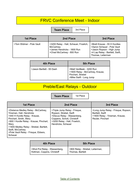# FRVC Conference Meet - Indoor

**Team Place** 3rd Place

| <b>1st Place</b>         | 2nd Place                                                                                                       | 3rd Place                                                                                                                                        |
|--------------------------|-----------------------------------------------------------------------------------------------------------------|--------------------------------------------------------------------------------------------------------------------------------------------------|
| >Tom Widmer - Pole Vault | >3200 Relay - Hall, Schauer, Froelich,<br>McCartney<br>>James Hendricks - 1600 Run<br>>Chad McCartney - 800 Run | >Brett Krause - 55 H Hurdles<br>>Aaron Schauer - Pole Vault<br>>Jason Ropson - High Jump<br>>4 Lap Relay - Bartlett, Swift,<br>Thomas, Leiterman |

| 4th Place                 | <b>5th Place</b>                                                                                             |
|---------------------------|--------------------------------------------------------------------------------------------------------------|
| >Jason Bartlett - 55 Dash | >Matt VanBeek - 3200 Run<br>>1600 Relay - McCartney, Krause,<br>Pinchart, Strebel<br>>Mike Swift - Long Jump |

# Preble/East Relays - Outdoor

**Team Place** | 1st Place

| <b>1st Place</b>                                                                                                                                                                                                                                                                               | 2nd Place                                                                                                                                                                   | 3rd Place                                                                                                    |
|------------------------------------------------------------------------------------------------------------------------------------------------------------------------------------------------------------------------------------------------------------------------------------------------|-----------------------------------------------------------------------------------------------------------------------------------------------------------------------------|--------------------------------------------------------------------------------------------------------------|
| >Distance Medley Relay - McCartney,<br>Yineman, Hall, Hendricks<br>>440 H Hurdle Relay - Krause,<br>Pinchart, Smith, Wery<br>>900 I Hurdle Relay - Krause, Pinchart,<br>Wery<br>>1600 Medley Relay - Strebel, Bartlett,<br>Swift, McCartney<br>>Pole Vault Relay - Frisque, Ebbers,<br>Schauer | >Triple Jump Relay - Frisque,<br>Ropson, Strebel, Swift<br>>Discus Relay - Wassenberg,<br>Coppens, Schott, Christoff<br>>3200 Relay - Hall, Froelich,<br>Hendricks, Schauer | >Long Jump Relay - Frisque, Ropson,<br>Bartlett, Swift<br>>1600 Relay - Yineman, Krause,<br>Reuter, Pinchart |

| <b>4th Place</b>              | <b>5th Place</b>                 |
|-------------------------------|----------------------------------|
| >Shot Put Relay - Wassenberg, | >800 Relay - Strebel, Leiterman, |
| Holtman, Coppins, Christoff   | Thomas, Bartlett                 |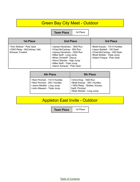# Green Bay City Meet - Outdoor

**Team Place** | 1st Place

| <b>1st Place</b>                                                                | 2nd Place                                                                                                                                                                                                                                | 3rd Place                                                                                                                                              |
|---------------------------------------------------------------------------------|------------------------------------------------------------------------------------------------------------------------------------------------------------------------------------------------------------------------------------------|--------------------------------------------------------------------------------------------------------------------------------------------------------|
| >Tom Widmer - Pole Vault<br>>3200 Relay - McCartney, Hall,<br>Schauer, Froelich | >James Hendricks - 1600 Run<br>>Chad McCartney - 800 Run<br>>James Hendricks - 3200 Run<br>>Mike Swift - Long Jump<br>>Brian Christoff - Discus<br>>Kevin Stemke - High Jump<br>>Mike Swift - Triple Jump<br>>Aaron Schauer - Pole Vault | >Brett Krause - 110 H Hurdles<br>>Jason Bartlett - 100 Dash<br>>Chad McCartney - 400 Dash<br>>Brad Strebel - Triple Jump<br>>Adam Frisque - Pole Vault |

| 4th Place                                                                                                                      | <b>5th Place</b>                                                                                                                          |
|--------------------------------------------------------------------------------------------------------------------------------|-------------------------------------------------------------------------------------------------------------------------------------------|
| >Nick Pinchart - 110 H Hurdles<br>>Nick Pinchart - 300   Hurdles<br>>Jason Bartlett - Long Jump<br>>John Massert - Triple Jump | >Chris King - 1600 Run<br>>Brett Krause - 300 I Hurdles<br>>1600 Relay - Strebel, Krause,<br>Swift, Pinchart<br>>Brad Strebel - Long Jump |

# Appleton East Invite - Outdoor

**Team Place** | 1st Place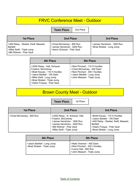## FRVC Conference Meet - Outdoor

**Team Place** 2nd Place

| <b>1st Place</b>                                                                                                   | 2nd Place                                                                               | 3rd Place                                                |
|--------------------------------------------------------------------------------------------------------------------|-----------------------------------------------------------------------------------------|----------------------------------------------------------|
| S400 Relay - Strebel, Swift, Massart,<br><b>Bartlett</b><br>>Mike Swift - Triple Jump<br>SBill Widmer - Pole Vault | >Chad McCartney - 800 Run<br>>James Hendricks - 3200 Run<br>>Aaron Schauer - Pole Vault | >James Hendricks - 1600 Run<br>>Brad Strebel - Long Jump |

| <b>4th Place</b>                                                                                                                                                                                           | <b>5th Place</b>                                                                                                                                             |
|------------------------------------------------------------------------------------------------------------------------------------------------------------------------------------------------------------|--------------------------------------------------------------------------------------------------------------------------------------------------------------|
| >3200 Relay - Hall, Schauer,<br>Froelich, McCartney<br>>Brett Krause - 110 H Hurdles<br>>Jason Bartlett - 100 Dash<br>>Mike Swift - Long Jump<br>>Brad Strebel - Triple Jump<br>>Adam Frisque - Pole Vault | >Nick Pinchart - 110 H Hurdles<br>>Chad McCartney - 400 Dash<br>>Nick Pinchart - 300 I Hurdles<br>>Jason Bartlett - Long Jump<br>>John Massart - Triple Jump |

# Brown County Meet - Outdoor

**Team Place** | 1st Place

| 1st Place                 | 2nd Place                                                                                                                                                                      | 3rd Place                                                                                                                                                                          |
|---------------------------|--------------------------------------------------------------------------------------------------------------------------------------------------------------------------------|------------------------------------------------------------------------------------------------------------------------------------------------------------------------------------|
| >Chad McCartney - 800 Run | >3200 Relay - N. Schauer, Hall,<br>Froelich, McCartney<br>>James Hendricks - 1600 Run<br>>James Hendricks - 3200 Run<br>>Bill Widmer - Pole Vault<br>>Mike Swift - Triple Jump | >Brett Krause - 110 H Hurdles<br>>Jason Bartlett - 100 Dash<br>>400 Relay - Strebel, Swift, Massart,<br><b>Bartlett</b><br>>Adam Frisque - Pole Vault<br>>Brad Strebel - Long Jump |

| 4th Place                                                  | <b>5th Place</b>                                                                                                   |
|------------------------------------------------------------|--------------------------------------------------------------------------------------------------------------------|
| >Jason Bartlett - Long Jump<br>>Brad Strebel - Triple Jump | >Nate Yineman - 400 Dash<br>>Nick Pinchart - 300 I Hurdles<br>>Lance Hall - 800 Run<br>>John Massert - Triple Jump |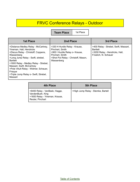# FRVC Conference Relays - Outdoor

**Team Place** 

| <b>1st Place</b>                                                                                                                                                                                                                                                                                                                                           | 2nd Place                                                                                                                                                  | 3rd Place                                                                                                          |
|------------------------------------------------------------------------------------------------------------------------------------------------------------------------------------------------------------------------------------------------------------------------------------------------------------------------------------------------------------|------------------------------------------------------------------------------------------------------------------------------------------------------------|--------------------------------------------------------------------------------------------------------------------|
| >Distance Medley Relay - McCartney,<br>Yineman, Hall, Hendricks<br>>Discus Relay - Christoff, Coppens,<br>Wassenberg<br>>Long Jump Relay - Swift, strebel,<br><b>Bartlett</b><br>>1600 Relay - Medley Relay - Strebel,<br>Massart, Swift, McCartney<br>>Pole VAult Relay - Widmer, Schauer,<br>Frisque<br>>Triple Jump Relay o- Swift, Strebel,<br>Massart | >330 H Hurdle Relay - Krause,<br>Pinchart, Smith<br>>900 I Hurdle Relay o- Krause,<br>Pinchart, Smith<br>>Shot Put Relay - Christoff, Mason,<br>Wassenberg | >400 Relay - Strebel, Swift, Massart,<br><b>Bartlett</b><br>>3200 Relay - Hendricks, Hall,<br>Froelich, N. Schauer |

| 4th Place                                                                                               | <b>5th Place</b>                   |
|---------------------------------------------------------------------------------------------------------|------------------------------------|
| >6400 Relay - VanBeek, Hagge,<br>VandenBush, King<br>>1600 Relay - Yineman, Krause,<br>Reuter, Pinchart | >High Jump Relay - Stemke, Bartell |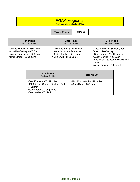## WIAA Regional

Top 4 qualify for the Sectional Meet

**Team Place** 1st Place

| <b>1st Place</b>                                                                                                     | 2nd Place                                                                                                               | 3rd Place                                                                                                                                                                                                       |
|----------------------------------------------------------------------------------------------------------------------|-------------------------------------------------------------------------------------------------------------------------|-----------------------------------------------------------------------------------------------------------------------------------------------------------------------------------------------------------------|
| Sectional Qualifier                                                                                                  | Sectional Qualifier                                                                                                     | Sectional Qualifier                                                                                                                                                                                             |
| >James Hendricks - 1600 Run<br>>Chad McCartney - 800 Run<br>>James Hendricks - 3200 Run<br>>Brad Strebel - Long Jump | >Nick Pinchart - 300 I Hurdles<br>>Aaron Schauer - Pole Vault<br>>Kevin Stemke - High Jump<br>>Mike Swift - Triple Jump | >3200 Relay - N. Schauer, Hall,<br>Froelich, McCartney<br>>Brett Krause - 110 H Hurdles<br>>Jason Bartlett - 100 Dash<br>>400 Relay - Strebel, Swift, Massart,<br><b>Bartlett</b><br>>Adam Frisque - Pole Vault |

| 4th Place<br><b>Sectional Qualifier</b>                                                                                                             | <b>5th Place</b>                                         |
|-----------------------------------------------------------------------------------------------------------------------------------------------------|----------------------------------------------------------|
| >Brett Krause - 300 I Hurdles<br>>1600 Relay - Strebel, Pinchart, Swift,<br>McCartney<br>>Jason Bartlett - Long Jump<br>>Brad Strebel - Triple Jump | >Nick Pinchart - 110 H Hurdles<br>>Chris King - 3200 Run |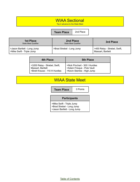# WIAA Sectional

Top 2 advance to the State Meet

#### **Team Place** 2nd Place

| <b>1st Place</b><br>State Meet Qualifier                 | 2nd Place<br><b>State Meet Qualifier</b> | 3rd Place                                         |
|----------------------------------------------------------|------------------------------------------|---------------------------------------------------|
| >Jason Bartlett - Long Jump<br>>Mike Swift - Triple Jump | >Brad Strebel - Long Jump                | >400 Relay - Strebel, Swift,<br>Massart, Bartlett |

| 4th Place                                                                           | <b>5th Place</b>                                                                          |
|-------------------------------------------------------------------------------------|-------------------------------------------------------------------------------------------|
| >3200 Relay - Strebel, Swift,<br>Massart, Bartlett<br>>Brett Krause - 110 H Hurdles | >Nick Pinchart - 300 I Hurdles<br>>Adam Frisque - Pole Vault<br>>Kevin Stemke - High Jump |

## WIAA State Meet

**Team Place** | 0 Points

### **Participants**

>Mike Swift - Triple Jump >Brad Strebel - Long Jump >Jason Bartlett - Long Jump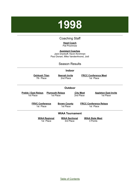# <span id="page-26-0"></span>**1998**

## Coaching Staff

#### **Head Coach** Pat Prochnow

**Assistant Coaches** Jack Drankoff, Kevin Kirchman Paul Donart, Mike VandenAvond, Jodi

### Season Results

#### **Indoor**

**Oshkosh Titan** 7th Place

**Neenah Invite** 2nd Place

**FRCC Conference Meet** 1st Place

#### **Outdoor**

**Preble / East Relays** 1st Place **Plymouth Relays** 1st Place

**City Meet** 2nd Place

**Appleton East Invite** 1st Place

**FRVC Conference** 1st Place

**Brown County** 1st Place

**FRCC Conference Relays** 1st Place

#### **WIAA Tournament**

**WIAA Regional** 1st Place

**WIAA Sectional** 3rd Place

**WIAA State Meet** 3 Points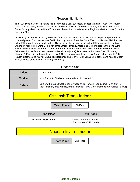## Season Highlights

The 1998 Preble Men's Track and Field Team had a very successful season winning 7 out of ten regular season meets. They included both indoor and outdoor FRVC Conference Meets, 3 relays meets, and the Brown County Meet. In the WIAA Tournament Meets the Hornets won the Regional Meet and was 3rd at the Sectional Meet.

Individually the team was led by Mike Swift who qualified for the State Meet in the Triple Jump for the 4th time and placed 6th. He also qualified in the Long Jump. The other State Meet qualifier was Nick Pinchart in the 300 Meter Intermediate Hurdles. Nick also set the school record in the 300 Intermediate Hurdles. Other new records set were Mike Swift, Brad Strebel, Brian Evraets, and Mike Pierrard in the Long Jump Relay, and Nick Pinchart, Brett Krause, and Brian Janeshek in the 900 Meter Intermediate Hurdle Relay. Other contributors for the team were Charles Moutry (jumps), Brett Krause (hurdles), Chad Mccartney (distance), Mike Pierrard (sprints and relays), Nate Thomas (sprints and relays), Zac Schott (weights), Kris Reuter (distance and relays), Shaun Nick (distance and relays), Matt VanBeek (distance and relays), Casey Bins (distance), and Jason Whitmire (Pole Vault)

## Records Set

| Indoor        | No Records Set                                                                                                                                                                  |
|---------------|---------------------------------------------------------------------------------------------------------------------------------------------------------------------------------|
| Outdoor       | Nick Pinchart - 300 Meter intermediate Hurdles (40.2)                                                                                                                           |
| <b>Relays</b> | Mike Swift, Brad Strebel, Brian Evraets, Mike Pierrard - Long Jump Relay (78' 10 1/2")<br>Mick Pinchart, Brett Krause, Brian Janeshek - 900 Meter Intermediate Hurdles (2:07.6) |

# Oshkosh Titan - Indoor

**Team Place** 7th Place

| 2nd Place                 | <b>5th Place</b>                                          |
|---------------------------|-----------------------------------------------------------|
| >Mike Swift - Triple Jump | >Chad McCartney - 800 Run<br>>Brett Krause - 55 H Hurdles |

## Neenah Invite - Indoor

**Team Place** | 2nd Place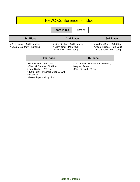# FRVC Conference - Indoor

**Team Place** | 1st Place

| 1st Place                                                  | 2nd Place                                                                             | 3rd Place                                                                           |
|------------------------------------------------------------|---------------------------------------------------------------------------------------|-------------------------------------------------------------------------------------|
| >Brett Krause - 55 H Hurdles<br>SChad McCartney - 1600 Run | >Nick Pinchart - 55 H Hurdles<br>>Bill Widmer - Pole Vault<br>>Mike Swift - Long Jump | >Matt VanBeek - 3200 Run<br>>Adam Frisque - Pole Vault<br>>Brad Strebel - Long Jump |

| <b>4th Place</b>                                                                                                                                                        | <b>5th Place</b>                                                                   |
|-------------------------------------------------------------------------------------------------------------------------------------------------------------------------|------------------------------------------------------------------------------------|
| >Nick Pinchart - 400 Dash<br>>Chad McCartney - 800 Run<br>>Brad Strebel - 200 Dash<br>>1600 Relay - Pinchart, Strebel, Swift,<br>McCartney<br>>Jason Ropson - High Jump | >3200 Relay - Froelich, VandenBush,<br>Jacques, Reuter<br>>Mike Pierrard - 55 Dash |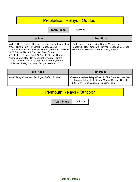# Preble/East Relays - Outdoor

**Team Place** 1st Place

| 1st Place                                                                                                                                                                                                                                                                                                                                                                                                                                        | <b>2nd Place</b>                                                                                                                                           |
|--------------------------------------------------------------------------------------------------------------------------------------------------------------------------------------------------------------------------------------------------------------------------------------------------------------------------------------------------------------------------------------------------------------------------------------------------|------------------------------------------------------------------------------------------------------------------------------------------------------------|
| >440 H Hurdle Relay - Krause, Deprez, Pinchart, Janeshek<br>>900 I Hurdle Relay - Pinchart, Krause, Deprez<br>>1600 Medley Relay - Belland, Thomas, Pierrard, VanBeek<br>>400 Relay - Pierrard, Thomas, Swift, Strebel<br>>Triple Jump Relay - Swift, G. Schott, Strebel, Ropson<br>>Long Jump Relay - Swift, Strebel, Evraets, Pierrard<br>>Discus Relay - Christoff, Coppens, Z. Schott, Mathu<br>>Pole Vault Relay - Schauer, Frisque, Widmer | >6400 Relay - Hagge, Nick, Reuter, VandenBush<br>>Shot Put Relay - Christoff, Holtman, Coppens, Z. Schott<br>>800 Relay - Pierrard, Thomas, Swift, Strebel |

| 3rd Place                                           | <b>4th Place</b>                                                                                                                                                     |
|-----------------------------------------------------|----------------------------------------------------------------------------------------------------------------------------------------------------------------------|
| >1600 Relay - Yineman, Reidinger, Steffek, Pinchart | >Distance Medley Relay - Froelich, Bins, Yineman, VanBeek<br>SHigh Jump Relay - Hutchinson, Moutry, Ropson, Bartell<br>>3200 Relay - Bins, Jacques, Froelich, Reuter |

# Plymouth Relays - Outdoor

**Team Place** | 1st Place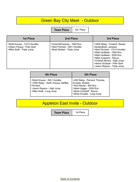# **Green Bay City Meet - Outdoor**

**Team Place** 3rd Place

| 1st Place                                                                                | 2nd Place                                                                                   | 3rd Place                                                                                                                                                                                                                                                               |
|------------------------------------------------------------------------------------------|---------------------------------------------------------------------------------------------|-------------------------------------------------------------------------------------------------------------------------------------------------------------------------------------------------------------------------------------------------------------------------|
| >Brett Krause - 110 H Hurdles<br>>Adam Frisque - Pole Vault<br>>Mike Swift - Triple Jump | >Chad McCartney - 1600 Run<br>>Nick Pinchart - 300 I Hurdles<br>>Brad Strebel - Triple Jump | >3200 Relay - Froelich, Reuter,<br>VandenBush, Jacques<br>>Nick Pinchart - 110 H Hurdles<br>>Matt VanBeek - 1600 Run<br>>Matt VanBeek - 3200 Run<br>>Mike Coppens - Discus<br>>Charles Moutry - High Jump<br>>Aaron Schauer - Pole Vault<br>>Jason Ropson - Triple Jump |

| 4th Place                                                                                                                                  | 5th Place                                                                                                                                                         |
|--------------------------------------------------------------------------------------------------------------------------------------------|-------------------------------------------------------------------------------------------------------------------------------------------------------------------|
| >Brett Krause - 300 I Hurdles<br>>1600 Relay - Swift, Krause, Steffek,<br>Pinchart<br>>Jason Ropson - High Jump<br>>Mike Swift - Long Jump | >400 Relay - Pierrard, Thomas,<br>Evraets, Strebel<br>>Kris Reuter - 800 Run<br>>Mark Hagge - 3200 Run<br>>Brian Christoff - Discus<br>>Brian Evraets - Long Jump |

# Appleton East Invite - Outdoor

**Team Place** | 1st Place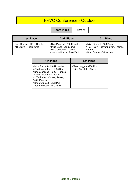# FRVC Conference - Outdoor

**Team Place** | 1st Place

| 1st Place                                                  | 2nd Place                                                                                                           | 3rd Place                                                                                                    |
|------------------------------------------------------------|---------------------------------------------------------------------------------------------------------------------|--------------------------------------------------------------------------------------------------------------|
| >Brett Krause - 110 H Hurdles<br>>Mike Swift - Triple Jump | >Nick Pinchart - 300 I Hurdles<br>>Mike Swift - Long Jump<br>>Mike Coppens - Discus<br>>Jason Whitmire - Pole Vault | >Mike Pierrard - 100 Dash<br>>400 Relay - Pierrard, Swift, Thomas,<br>Strebel<br>>Brad Strebel - Triple Jump |

| 4th Place                                                                                                                                                                                                                                     | <b>5th Place</b>                                    |
|-----------------------------------------------------------------------------------------------------------------------------------------------------------------------------------------------------------------------------------------------|-----------------------------------------------------|
| >Nick Pinchart - 110 H Hurdles<br>>Chad McCartney - 1600 Run<br>>Brian Janeshek - 300 I Hurdles<br>>Chad McCartney - 800 Run<br>>1600 Relay - Krause, Reuter,<br>Swift, Pinchart<br>>Brian Christoff - Shot Put<br>>Adam Frisque - Pole Vault | >Mark Hagge - 3200 Run<br>>Brian Christoff - Discus |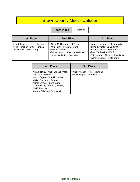# Brown County Meet - Outdoor

**Team Place** | 1st Place

| 1st Place                                                                                  | 2nd Place                                                                                                                                           | 3rd Place                                                                                                                                                                                    |
|--------------------------------------------------------------------------------------------|-----------------------------------------------------------------------------------------------------------------------------------------------------|----------------------------------------------------------------------------------------------------------------------------------------------------------------------------------------------|
| >Brett Krause - 110 H Hurdles<br>>Nick Pinchart - 300   Hurdles<br>>Mike Swift - Long Jump | >Chad McCartney - 1600 Run<br>>400 Relay - Pierrard, Swift,<br>Thomas, Strebel<br>>Triple Jump - Name not available<br>>Jason Whitmire - Pole Vault | >Jason Ropson - High Jump (tie)<br>>Brian Evraets - Long Jump<br>>Brian Christoff - Shot Put<br>>Matt VanBeek - 3200 Run<br>>Triple Jump - Name not available<br>>Aaron Schauer - Pole Vault |

| 4th Place                                                                                                                                                                                                                     | <b>5th Place</b>                                         |
|-------------------------------------------------------------------------------------------------------------------------------------------------------------------------------------------------------------------------------|----------------------------------------------------------|
| >3200 Relay - Nick, VanSchyndle,<br>Thut, VAndenBush<br>>Nick Deprez - 110 H Hurdles<br>>Mike Coppens - Discus<br>>Brad Strebel - Long Jump<br>>1600 Relay - Krause, Reuter,<br>Swift, Pinchart<br>>Adam Frisque - Pole Vault | >Nick Pinchart - 110 H Hurdles<br>>Mark Hagge - 3200 Run |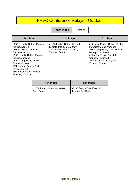# FRVC Conference Relays - Outdoor

**Team Place** | 1st Place

| <b>1st Place</b>                                                                                                                                                                                                                                                                                                   | 2nd Place                                                                                                      | 3rd Place                                                                                                                                                                                                                        |
|--------------------------------------------------------------------------------------------------------------------------------------------------------------------------------------------------------------------------------------------------------------------------------------------------------------------|----------------------------------------------------------------------------------------------------------------|----------------------------------------------------------------------------------------------------------------------------------------------------------------------------------------------------------------------------------|
| >330 H Hurdle Relay - Pinchart,<br>Krause, Deprez<br>>Discus Relay - Christoff,<br>Coppens, Schott<br>>900   Hurdle Relay - Pinchart,<br>Krause, Janeshek<br>>Long Jump Relay - Swift,<br>Strebel, Evraets<br>>Triple Jump Relay - Swift,<br>Strebel, Evraets<br>>Pole Vault Relay - Frisque,<br>Schauer, Whitmire | >1600 Medley Relay - Belland,<br>Evraets, Mtzke, McCartney<br>>800 Relay - Pierrard, Swift,<br>Thomas, Strebel | >Distance Medley Relay - Reuter,<br>McCartney, Bins, VanBeek<br>>High Jump Relay (tie) - Ropson,<br>Moutry, Hutchinson<br>>Shot Put Relay - Christoff,<br>Coppens, Z. Schott<br>>400 Relay - Pierrard, Swift,<br>Thomas, Strebel |

| 4th Place                                       | <b>5th Place</b>                                  |
|-------------------------------------------------|---------------------------------------------------|
| >1600 Relay - Yineman, Steffek,<br>Bley, Reuter | >3200 Relay - Bins, Froelich,<br>Jacques, VanBeek |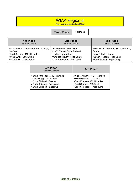## WIAA Regional

Top 4 qualify for the Sectional Meet

### **Team Place** 1st Place

| 1st Place                              | 2nd Place                     | 3rd Place                             |
|----------------------------------------|-------------------------------|---------------------------------------|
| <b>Sectional Qualifier</b>             | <b>Sectional Qualifier</b>    | <b>Sectional Qualifier</b>            |
| >3200 Relay - McCartney, Reuter, Nick, | >Casey Bins - 1600 Run        | >400 Relay - Pierrard, Swift, Thomas, |
| VanBeek                                | >1600 Relay - Swift, Belland, | Strebel                               |
| >Brett Krause - 110 H Hurdles          | Pinchart, McCartney           | >Zak Schott - Discus                  |
| >Mike Swift - Long Jump                | >Charles Moutry - High Jump   | >Jason Ropson - High Jump             |
| >Mike Swift - Triple Jump              | >Aaron Schauer - Pole Vault   | >Brad Strebel - Triple Jump           |

| <b>4th Place</b><br><b>Sectional Qualifier</b> | 5th Place                      |
|------------------------------------------------|--------------------------------|
| >Brian Janeshek - 300 I Hurdles                | >Nick Pinchart - 110 H Hurdles |
| >Mark Hagge - 3200 Run                         | >Mike Pierrard - 100 Dash      |
| >Brian Christoff - Discus                      | >Brett Krause - 300 I Hurdles  |
| >Adam Frisque - Pole Vault                     | >Brad Strebel - 200 Dash       |
| >Brian Christoff - Shot Put                    | >Jason Ropson - Triple Jump    |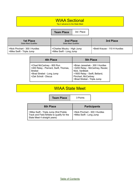# WIAA Sectional

Top 2 advance to the State Meet

**Team Place** | 3rd Place

| <b>1st Place</b><br>State Meet Qualifier                    | 2nd Place<br><b>State Meet Qualifier</b>               | 3rd Place                     |
|-------------------------------------------------------------|--------------------------------------------------------|-------------------------------|
| >Nick Pinchart - 300   Hurdles<br>>Mike Swift - Triple Jump | >Charles Moutry - High Jump<br>>Mike Swift - Long Jump | >Brett Krause - 110 H Hurdles |

| 4th Place                                                                                                                          | <b>5th Place</b>                                                                                                                                                            |
|------------------------------------------------------------------------------------------------------------------------------------|-----------------------------------------------------------------------------------------------------------------------------------------------------------------------------|
| >Chad McCartney - 800 Run<br>>400 Relay - Pierrard, Swift, Thomas,<br>Strebel<br>>Brad Strebel - Long Jump<br>>Zak Schott - Discus | >Brian Janeshek - 300 I Hurdles<br>>3200 Relay - McCartney, Reuter,<br>Nick, VanBeek<br>>1600 Relay - Swift, Belland,<br>Pinchart, McCartney<br>>Brad Strebel - Triple Jump |

# WIAA State Meet

**Team Place** 3 Points

| <b>6th Place</b>                                                                                                      | <b>Participants</b>                                       |
|-----------------------------------------------------------------------------------------------------------------------|-----------------------------------------------------------|
| >Mike Swift - Triple Jump (first Preble<br>Track and Field Athlete to qualify for the<br>State Meet 4 straight years) | >Nick Pinchart - 300 I Hurdles<br>>Mike Swift - Long Jump |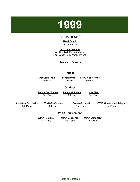<span id="page-36-0"></span>

## Coaching Staff

#### **Head Coach** Pat Prochnow

**Assistant Coaches** Jack Drankoff, Kevin Kirchman, Paul Donart, Mike VandenAvond

### Season Results

|                                           |                                        | <b>Indoor</b>                       |                                     |                                            |  |
|-------------------------------------------|----------------------------------------|-------------------------------------|-------------------------------------|--------------------------------------------|--|
|                                           | <b>Oshkosh Titan</b><br>8th Place      | <b>Neenah Invite</b><br>1st Place   | <b>FRVC Conference</b><br>2nd Place |                                            |  |
|                                           |                                        | <b>Outdoor</b>                      |                                     |                                            |  |
|                                           | <b>Preble/East Relays</b><br>1st Place | <b>Plymouth Relays</b><br>1st Place |                                     | <b>City Meet</b><br>1st Place              |  |
| <u> Appleton East Invite</u><br>1st Place | <b>FRVC Conference</b><br>1st Place    |                                     | <b>Brown Co. Meet</b><br>1st Place  | <b>FRVC Conference Relays</b><br>1st Place |  |
|                                           |                                        | <b>WIAA Tournament</b>              |                                     |                                            |  |
|                                           | <b>WIAA Regional</b><br>1st Place      | <b>WIAA Sectional</b><br>4th Place  | <b>WIAA State Meet</b><br>4 Points  |                                            |  |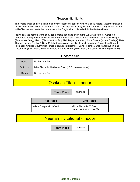## Season Highlights

The Preble Track and Field Team had a very successful season winning 9 of 13 meets. Victories included Indoor and Outdoor FRVC Conference Titles, 3 Relays Meets, City Meet and Brown County Meets. In the WIAA Tournament meets the Hornets won the Regional and placed 4th in the Sectional Meet.

Individually the hornets were let by Zak Schott's 4th place finish at the WIAA State Meet. Other top performers during the season were Mike Pierrard who set a record in the 100 Meter dash, Mark Frisque (Pole Vault), Gregg Mathu (Discus & Shot Put), Nick Deprez (hurdles), Brian Evraets (sprints & relays), Nate Thomas (sprints & relays), Brian Matzke (sprints & relays), Kent Hutchison (jumps), Jonathon Conrad (distance), Charles Moutry (high jump), Shaun Nick (distance), Dave Reidinger, Brad VandenBush, and Casey Bins (3200 relay), Brian Janeshek, and Kris Reuter (1600 relay), and Jason Whitmire (pole vault).

## Records Set

| Indoor  | No Records Set                                         |
|---------|--------------------------------------------------------|
| Outdoor | Mike Pierrard - 100 Meter Dash (10.8 - non-electronic) |
| Relay   | No Records Set                                         |

## Oshkosh Titan - Indoor

**Team Place** | 8th Place

| <b>1st Place</b>           | 2nd Place                                                |
|----------------------------|----------------------------------------------------------|
| >Mark Frisque - Pole Vault | >Mike Pierrard - 55 Dash<br>>Jason Whitmire - Pole Vault |

## Neenah Invitational - Indoor

**Team Place** | 1st Place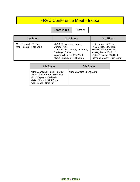# FRVC Conference Meet - Indoor

**Team Place** | 1st Place

| <b>1st Place</b>                                       | 2nd Place                                                                                                                                                         | 3rd Place                                                                                                                                                           |
|--------------------------------------------------------|-------------------------------------------------------------------------------------------------------------------------------------------------------------------|---------------------------------------------------------------------------------------------------------------------------------------------------------------------|
| >Mike Pierrard - 55 Dash<br>>Mark Frisque - Pole Vault | >3200 Relay - Bins, Hagge,<br>Conrad, Nick<br>>1600 Relay - Deprey, Janeshek,<br>Reidinger, Reuter<br>>Jason Whitmire - Pole Vault<br>>Kent Hutchison - High Jump | >Kris Reuter - 400 Dash<br>>4 Lap Relay - Pierrard,<br>Evraets, Moutry, Matzke<br>>Casey Bins - 800 Run<br>>Brian Evraets - 200 Dash<br>>Charles Moutry - High Jump |

| 4th Place                                                                                                                                       | <b>5th Place</b>           |
|-------------------------------------------------------------------------------------------------------------------------------------------------|----------------------------|
| >Brian Janeshek - 55 H Hurdles<br>>Brad VandenBush - 1600 Run<br>>Nick Deprez - 400 Dash<br>>Mike Pierrard - 200 Dash<br>>Zak Schott - Shot Put | >Brian Evraets - Long Jump |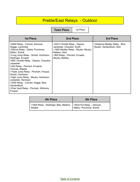# Preble/East Relays - Outdoor

**Team Place** | 1st Place

| <b>1st Place</b>                                                                                                                                                                                                                                                                                                                                                                                                                                                                                                            | 2nd Place                                                                                                                                                                | 3rd Place                                                  |
|-----------------------------------------------------------------------------------------------------------------------------------------------------------------------------------------------------------------------------------------------------------------------------------------------------------------------------------------------------------------------------------------------------------------------------------------------------------------------------------------------------------------------------|--------------------------------------------------------------------------------------------------------------------------------------------------------------------------|------------------------------------------------------------|
| >6400 Relay - Conrad, Zamzow,<br>Hagge, Larscheid<br>>Discus Relay - Detrie, Prochnow,<br>Mathu, Schott<br>>Long Jump Relay - Schott, Hutchison,<br>Reidinger, Evraets<br>>900 I Hurdle Relay - Deprez, Chaudoir,<br>Janeshek<br>>400 Relay - Pierrard, Evraerts,<br>Thomas, Matzke<br>>Triple Jump Relay - Pinchart, Frisque,<br>Schott, Hutchison<br>>High Jump Relay - Moutry, Hutchison,<br>Janeshek, Hermsen<br>>3200 Relay - Conrad, Hagge, Bins,<br>VandenBush<br>>Pole Vault Relay - Pinchart, Whitmire,<br>Frisque | >440 H Hurdle Relay - Deprez,<br>Janeshek, Chaudoir, Smith<br>>1600 Medley Relay - Reuter, Moutry,<br>Mattern, Nick<br>>800 Relay - Pierrard, Evraets,<br>Moutry, Matzke | >Distance Medley Relay - Bins,<br>Reuter, VandenBush, Nick |

| <b>4th Place</b>                                                                                        | <b>5th Place</b> |  |
|---------------------------------------------------------------------------------------------------------|------------------|--|
| 71600 Relay - Reidinger, Bley, Belland, Shot Put Relay - Johnson,<br>Strebel<br>Mathu, Prochnow, Schott |                  |  |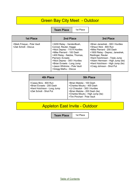# **Green Bay City Meet - Outdoor**

**Team Place** 1st Place

| <b>1st Place</b>                                   | 2nd Place                                                                                                                                                                                                                                                                                   | 3rd Place                                                                                                                                                                                                                                                                            |
|----------------------------------------------------|---------------------------------------------------------------------------------------------------------------------------------------------------------------------------------------------------------------------------------------------------------------------------------------------|--------------------------------------------------------------------------------------------------------------------------------------------------------------------------------------------------------------------------------------------------------------------------------------|
| >Mark Frisque - Pole Vault<br>>Zak Schott - Discus | >3200 Relay - VandenBush,<br>Conrad, Reuter, Hagge<br>>Nick Deprez - 110 H Hurdles<br>>Mike Pierrard - 100 Dash<br>>400 Relay - Natzke, Thomas,<br>Pierrard, Evraets<br>>Nick Deprez - 300 I Hurdles<br>>Brian Evraets - Long Jump<br>>Jason Whitmire - Pole Vault<br>>Gregg Mathu - Discus | >Brian Janeshek - 300   Hurdles<br>>Shaun Nick - 800 Run<br>>Mike Pierrard - 200 Dash<br>>1600 Relay - Deprez, Janeshek,<br>Reidinger, Reuter<br>>Kent Hutchinson - Triple Jump<br>>Adam Hermsen - High Jump (tie)<br>>Kent Hutchison - High Jump (tie)<br>>Craig Johnson - Shot Put |

| 4th Place                                                                                                   | <b>5th Place</b>                                                                                                                                                                            |
|-------------------------------------------------------------------------------------------------------------|---------------------------------------------------------------------------------------------------------------------------------------------------------------------------------------------|
| >Casey Bins - 800 Run<br>>Brian Evraets - 200 Dash<br>>Kent Hutchison - Long Jump<br>>Zak Schott - Shot Put | >Brian Matzke - 100 Dash<br>>Charles Moutry - 400 Dash<br>>JJ Chaudoir - 300 I Hurdles<br>>Brian Matzke - 200 Dash (tie)<br>>Charles Moutry - High Jump (tie)<br>>Tim Pinchart - Pole Vault |

# Appleton East Invite - Outdoor

**Team Place** | 1st Place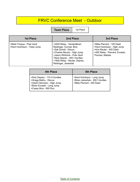# FRVC Conference Meet - Outdoor

**Team Place** 1st Place

| <b>1st Place</b>                                            | 2nd Place                                                                                                                                                                                                                           | 3rd Place                                                                                                                                |
|-------------------------------------------------------------|-------------------------------------------------------------------------------------------------------------------------------------------------------------------------------------------------------------------------------------|------------------------------------------------------------------------------------------------------------------------------------------|
| >Mark Frisque - Pole Vault<br>>Kent Hutchison - Triple Jump | >3200 Relay - VandenBush,<br>Reidinger, Conrad, Bins<br>>Zak Schott - Discus<br>>Charles Moutry - High Jump<br>>Jason Whitmire - Pole Vault<br>>Nick Deprez - 300   Hurdles<br>>1600 Relay - Reuter, Deprez,<br>Reidinger, Janeshek | >Mike Pierrard - 100 Dash<br>>Kent Hutchison - High Jump<br>>Kris Reuter - 400 Dash<br>>400 Relay - Pierrard, Evraets,<br>Thomas, Matzke |

| 4th Place                                                                                                                                 | <b>5th Place</b>                                                                            |
|-------------------------------------------------------------------------------------------------------------------------------------------|---------------------------------------------------------------------------------------------|
| >Nick Deprez - 110 H Hurdles<br>>Gregg Mathu - Discus<br>>Adam Hermsen - High Jump<br>>Brian Evraets - Long Jump<br>>Casey Bins - 800 Run | >Kent Hutchison - Long Jump<br>>Brian Janeshek - 300 I Hurdles<br>>Mike Pierrard - 200 Dash |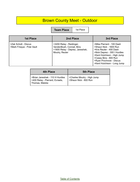# Brown County Meet - Outdoor

**Team Place** | 1st Place

| <b>1st Place</b>                                   | 2nd Place                                                                                                 | 3rd Place                                                                                                                                                                                                                        |
|----------------------------------------------------|-----------------------------------------------------------------------------------------------------------|----------------------------------------------------------------------------------------------------------------------------------------------------------------------------------------------------------------------------------|
| >Zak Schott - Discus<br>>Mark Frisque - Pole Vault | >3200 Relay - Reidinger,<br>VandenBush, Conrad, Bins<br>>1600 Relay - Deprez, Janeshek,<br>Moutry, Reuter | >Mike Pierrard - 100 Dash<br>>Shaun Nick - 1600 Run<br>>Kris Reuter - 400 Dash<br>>Nick Deprez - 300 I Hurdles<br>>Kent Hutchison - High Jump<br>>Casey Bins - 800 Run<br>>Ryan Prochnow - Discus<br>>Kent Hutchison - Long Jump |

| 4th Place                                                                            | <b>5th Place</b>                                     |
|--------------------------------------------------------------------------------------|------------------------------------------------------|
| >Brian Janeshek - 110 H Hurdles<br>>400 Relay - Pierrard, Evraets,<br>Thomas, Matzke | >Charles Moutry - High Jump<br>>Shaun Nick - 800 Run |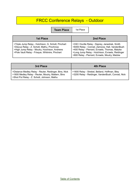# FRCC Conference Relays - Outdoor

**Team Place** | 1st

| ⊶<br>I<br>÷<br>× |  |
|------------------|--|
|------------------|--|

| 1st Place                                                                                                                                                                                             | 2nd Place                                                                                                                                                                                                                                               |
|-------------------------------------------------------------------------------------------------------------------------------------------------------------------------------------------------------|---------------------------------------------------------------------------------------------------------------------------------------------------------------------------------------------------------------------------------------------------------|
| >Triple Jump Relay - Hutchison, G. Schott, Pinchart<br>>Discus Relay - Z. Schott, Mathu, Prochnow<br>>High Jump Relay - Moutry, Hutchison, Andrews<br>>Pole Vault Relay - Frisque, Whitmire, Pinchart | >330 I Hurdle Relay - Deprey, Janeshek, Smith<br>>6400 Relay - Conrad, Zamzow, Hall, VandenBush<br>>400 Relay - Pierrard, Evraets, Thomas, Matzke<br>>Long Jump Relay - Hutchison, Evraets, Reidinger<br>>800 Relay - Pierrard, Evraets, Moutry, Matzke |

| 3rd Place                                                                                                                                                   | <b>4th Place</b>                                                                                   |
|-------------------------------------------------------------------------------------------------------------------------------------------------------------|----------------------------------------------------------------------------------------------------|
| >Distance Medley Relay - Reuter, Reidinger, Bins, Nick<br>>1600 Medley Relay - Reuter, Moutry, Mattern, Bins<br>>Shot Put Relay - Z. Schott, Johnson, Mathu | >1600 Relay - Strebel, Belland, Hoffman, Bley<br>>3200 Relay - Reidinger, VandenBush, Conrad, Nick |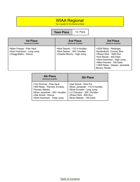## WIAA Regional

Top 4 qualify for the Sectional Meet

### **Team Place** 1st Place

| <b>1st Place</b>                                                                   | 2nd Place                                                                                   | 3rd Place                                                                                                                                                                                                                  |
|------------------------------------------------------------------------------------|---------------------------------------------------------------------------------------------|----------------------------------------------------------------------------------------------------------------------------------------------------------------------------------------------------------------------------|
| <b>Sectional Qualifier</b>                                                         | <b>Sectional Qualifier</b>                                                                  | <b>Sectional Qualifier</b>                                                                                                                                                                                                 |
| >Mark Frisque - Pole Vault<br>>Kent Hutchison - Long Jump<br>>Gregg Mathu - Discus | >Nick Deprez - 110 H Hurdles<br>>Nick Deprez - 300 I Hurdles<br>>Charles Moutry - High Jump | >3200 Relay - Reidinger,<br>VandenBush, Conrad, Bins<br>>Shaun Nick - 1600 Run<br>>Kris Reuter - 400 Dash<br>>Kent Hutchison - High Jump<br>>Mike Pierrard - 100 Dash<br>>1600 Relay - Deprez, Janeshek,<br>Moutry, Reuter |

| <b>4th Place</b><br><b>Sectional Qualifier</b> | <b>5th Place</b>                |
|------------------------------------------------|---------------------------------|
| >Tim Pinchart - Pole Vault                     | >Zad Schott - Shot Put          |
| >400 Relay - Pierrard, Evraets,                | >Brian Janeshek - 110 H Hurdles |
| Thomas, Matzke                                 | >Brian Evraets - Long Jump      |
| >Brian Janeshek - 300 I Hurdles                | >JJ Chaudoir - 300 I Hurdles    |
| >Zak Schott - Discus                           | >Shaun Nick - 800 Run           |
| >Kent Hutchison - Triple Jump                  | >Brian Matzke - 100 Dash        |